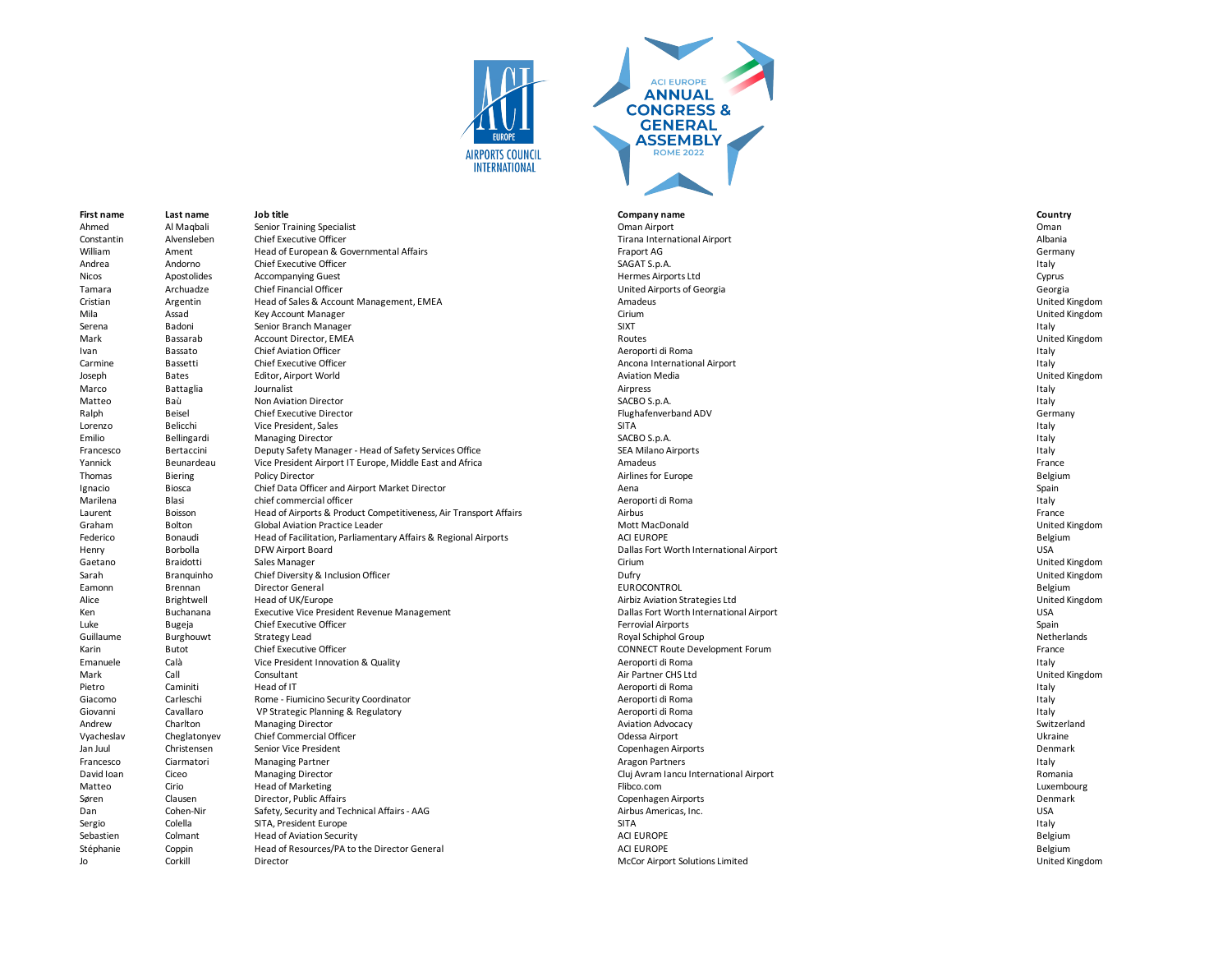



**First name Last name Job title Company name Country** Ahmed Al Maqbali Senior Training Specialist Coman Airport Channel Coman Airport Channel Al Maqbali Senior Training Specialist Channel Al Maqbali Senior Training Specialist Channel Al Maqbali Senior Training Specialist Chan Constantin Alvensleben Chief Executive Officer **The Chief Executive Officer** Tirana International Airport **Albania** William Ament Head of European & Governmental Affairs Face Comment of the Sermany of the Sermany of the Sermany<br>Andrea Andorno Chief Executive Officer Chief Care of the Chief Chief Chief Chief Chief Chief Chief Chief Chief Andrea Andorno Chief Executive Officer Sagath States and SAGAT S.p.A. SAGAT S.p.A. Italy SAGAT S.p.A. Italy SAGAT S.p.A. Italy Nicos Apostolides Accompanying Guest entropy and the state of the Hermes Airports Ltd Annual Cyprus Apostolides Accompanying Guest entropy and the state of the Cyprus Tamara Archuadze Chief Financial Officer United Airports of Georgia Georgia Cristian Argentin Head of Sales & Account Management, EMEA **Amadeus** Amadeus **Amadeus** United Kingdom United Kingdom Mila Assad Key Account Manager and the Cirium Cirium Cirium Cirium Cirium Cirium Assad Dirited Kingdom United Kingdom Serena Badoni Senior Branch Manager SIXT Italy Mark Bassarab Account Director, EMEA Routes Account Director, EMEA Routes Routes Routes Account Director, EMEA Ivan Bassato Chief Aviation Officer Chief Aviation Officer And December 2012 and Aeroporti di Roma Italy and December 2013 and December 2013 and December 2013 and December 2013 and December 2013 and December 2013 and Decem carmine Bassetti Chief Executive Officer Carewick Chief Executive Officer Chief Executive Officer Ancona International Airport Ancona International Airport Chief Executive Officer Ancona International Airport Ancona Intern Joseph Bates Editor, Airport World Aviation Media United Kingdom Marco Battaglia Journalist Airpress Italy Matteo Baù Non Aviation Director SACBO S.p.A. Italy Ralph Beisel Chief Executive Director Chief Executive Director Chief Annual Chief Annual Chief Annual Chief Executive Director Chief Annual Chief Annual Chief Annual Chief Annual Chief Annual Chief Annual Chief Annual Chie Lorenzo Belicchi Vice President, Sales Sitaly and Sitaly SITA Italy SITA Italy SITA Italy Sitaly and Sitaly Sitaly Sitaly Sitaly Sitaly Sitaly Sitaly Sitaly Sitaly Sitaly Sitaly Sitaly Sitaly Sitaly Sitaly Sitaly Sitaly Si Emilio Bellingardi Managing Director Sacrossom and SACBO S.p.A. SACBO S.p.A. SACBO S.p.A. SACBO S.p.A. SACBO S.p.A. SACBO S.p.A. SACBO S.p.A. SACBO S.p.A. SACRO S.p.A. SACRO S.p.A. SACRO S.p.A. SACRO S.p.A. SACRO S.p.A. SA Francesco Bertaccini Deputy Safety Manager - Head of Safety Services Office SEA Milano Airports SEA Milano Airports Yannick Beunardeau Vice President Airport IT Europe, Middle East and Africa Amadeus Amadeus France France France Thomas Biering Policy Director entitled that the state of the Airlines for Europe Airlines for Europe Belgium and the state of the Belgium Ignacio Biosca Chief Data Officer and Airport Market Director **Chief Achief Director** Aena Spain Chief Data Officer and Airport Market Director **Aena** Spain Marilena Blasi chief commercial officer extension to the community of the community of the community of the community of the community of the community of the community of the community of the community of the community of Laurent Boisson Head of Airports & Product Competitiveness, Air Transport Affairs Airbus Airbus Airbus Airbus France<br>Company of Global Aviation Practice Leader Airports Airport Affairs Mott MacDonald Mott MacDonald Chited Graham Bolton Global Aviation Practice Leader Note and School and Mott MacDonald Creation of the United Kingdom United Kingdom United Kingdom United Kingdom United Kingdom United Kingdom United Kingdom United Kingdom Unite Federico Bonaudi Head of Facilitation, Parliamentary Affairs & Regional Airports ACI EUROPE **ACI EUROPE** Belgium Henry Borbolla DFW Airport Board Dallas Fort Worth International Airport USA Gaetano Braidotti Sales Manager Cirium United Kingdom Sarah Branquinho Chief Diversity & Inclusion Officer entity of the Same Dufry Dufry Dufry Dufry Dufry United Kingdom<br>Branquinho Director General Director General Dufficer entity of the UNICONTROL EUROCONTROL CHINOCONTROL C Eamonn Brennan Director General entitled and the state of the EUROCONTROL EUROCONTROL EUROCONTROL EUROCONTROL Superinted and the state of the Belgium Alice Brightwell Head of UK/Europe and the Strategies Limits Aviation Strategies Ltd and the Direct Brightwell United Kingdom Ken Buchanana Executive Vice President Revenue Management Dallas Fort Worth International Airport Dallas Fort Worth International Airport Luke Bugeja Chief Executive Officer Ferrovial Airports Spain Guillaume Burghouwt Strategy Lead Royal Schiphol Group Netherlands Karin Butot Butot Chief Executive Officer Chief Executive Officer CONNECT Route Development Forum CONNECT Route Development Forum France Emanuele Calà Vice President Innovation & Quality Calabook Calabook Calabook Aeroporti di Roma Neroporti di Roma<br>Air Partner CHS Ltd Call Consultant Consultant Consultant According According According According According A Mark Call Consultant Air Partner CHS Ltd United Kingdom Pietro Caminiti Head of IT results are a communities of the experiment of the experiment of the experiment of the experiment of the experiment of the experiment of the experiment of the experiment of the experiment of the Giacomo Carleschi Rome - Fiumicino Security Coordinator Computer of Computer Computer of Controller and Carleschi Roma Italy<br>Giovanni Cavallaro VP Strategic Planning & Regulatory Computer Computer Security Computer and Aer VP Strategic Planning & Regulatory Andrew Charlton Managing Director and the Switzerland Charles Aviation Advocacy and Aviation Advocacy Switzerland Switzerland Vyacheslav Cheglatonyev Chief Commercial Officer Chronic Chronic Chief Commercial Officer Chronic Chronic Chief Commercial Officer Chronic Chronic Chronic Chronic Chronic Chronic Chronic Chronic Chronic Chronic Chronic Chr Jan Juul Christensen Senior Vice President Copenhagen Airports Denmark Francesco Ciarmatori Managing Partner and the State of the State of Aragon Partners and the State of Taly and the State of the State of the State of the State of the State of the State of the State of the State of the Stat David Ioan Ciceo Managing Director Compania Cluj Avram Iancu International Airport Cluj Avram Iancu International Airport Romania Matteo Cirio Head of Marketing Channel Head of Marketing Flibco.com Flibco.com Cirio Annual American Luxembourg Søren Clausen Director, Public Affairs Copenhagen Airports Denmark Dan Cohen-Nir Safety, Security and Technical Affairs - AAG Airbus Americas, Inc. Airbus Americas, Inc. And the Communical Safety, Security and Technical Affairs - AAG Airbus Americas, Inc. Airbus Americas, Inc. And the USA Sergio Colella SITA, President Europe SITA Italy Sebastien Colmant Head of Aviation Security ACI EUROPE ACI EUROPE ACI EUROPE Sebastien Colmant Colmant Head of Aviation Security ACI EUROPE ACI EUROPE ACI EUROPE ACI EUROPE ACI EUROPE ACI EUROPE ACI EUROPE ACI EUROPE ACI E Stéphanie Coppin Head of Resources/PA to the Director General ACI EUROPE ACI EUROPE COPPE COPPE Jo Corkill Director Director and Director and Director Coreal Director Airport Solutions Limited Correlations Limited Kingdom United Kingdom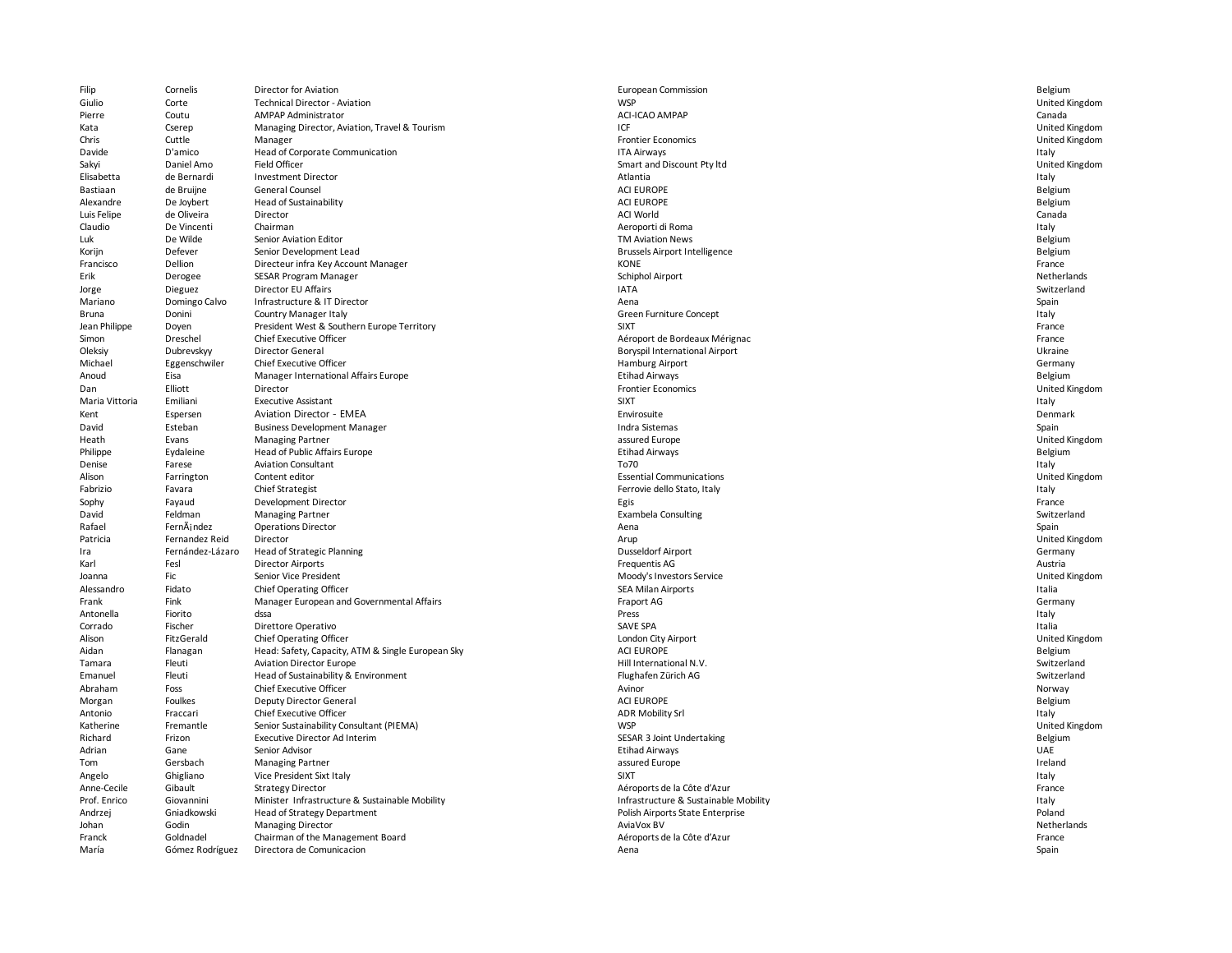| Filip          | Cornelis         | Director for Aviation                             | <b>European Commission</b>            | Belgium               |
|----------------|------------------|---------------------------------------------------|---------------------------------------|-----------------------|
| Giulio         | Corte            | Technical Director - Aviation                     | <b>WSP</b>                            | United Kingdom        |
| Pierre         | Coutu            | <b>AMPAP Administrator</b>                        | ACI-ICAO AMPAP                        | Canada                |
| Kata           | Cserep           | Managing Director, Aviation, Travel & Tourism     | ICF                                   | United Kingdom        |
| Chris          | Cuttle           | Manager                                           | <b>Frontier Economics</b>             | United Kingdom        |
| Davide         | D'amico          | Head of Corporate Communication                   | <b>ITA Airways</b>                    | Italy                 |
| Sakyi          | Daniel Amo       | Field Officer                                     | Smart and Discount Pty ltd            | United Kingdom        |
| Elisabetta     | de Bernardi      | <b>Investment Director</b>                        | Atlantia                              | Italy                 |
| Bastiaan       | de Bruijne       | General Counsel                                   | <b>ACI EUROPE</b>                     | Belgium               |
| Alexandre      | De Joybert       | Head of Sustainability                            | <b>ACI EUROPE</b>                     | Belgium               |
| Luis Felipe    | de Oliveira      | Director                                          | <b>ACI World</b>                      | Canada                |
| Claudio        | De Vincenti      | Chairman                                          | Aeroporti di Roma                     | Italy                 |
| Luk            | De Wilde         | Senior Aviation Editor                            | <b>TM Aviation News</b>               | Belgium               |
| Korijn         | Defever          | Senior Development Lead                           | <b>Brussels Airport Intelligence</b>  | Belgium               |
| Francisco      | Dellion          | Directeur infra Key Account Manager               | <b>KONE</b>                           | France                |
| Erik           | Derogee          | SESAR Program Manager                             | Schiphol Airport                      | Netherlands           |
| Jorge          | Dieguez          | Director EU Affairs                               | <b>IATA</b>                           | Switzerland           |
| Mariano        | Domingo Calvo    | Infrastructure & IT Director                      | Aena                                  | Spain                 |
| Bruna          | Donini           | Country Manager Italy                             | Green Furniture Concept               | Italy                 |
| Jean Philippe  | Doyen            | President West & Southern Europe Territory        | <b>SIXT</b>                           | France                |
|                |                  |                                                   |                                       |                       |
| Simon          | Dreschel         | Chief Executive Officer                           | Aéroport de Bordeaux Mérignac         | France                |
| Oleksiy        | Dubrevskyy       | Director General                                  | <b>Boryspil International Airport</b> | Ukraine               |
| Michael        | Eggenschwiler    | Chief Executive Officer                           | Hamburg Airport                       | Germany               |
| Anoud          | Eisa             | Manager International Affairs Europe              | <b>Etihad Airways</b>                 | Belgium               |
| Dan            | Elliott          | Director                                          | <b>Frontier Economics</b>             | <b>United Kingdom</b> |
| Maria Vittoria | Emiliani         | <b>Executive Assistant</b>                        | <b>SIXT</b>                           | Italy                 |
| Kent           | Espersen         | Aviation Director - EMEA                          | Envirosuite                           | Denmark               |
| David          | Esteban          | <b>Business Development Manager</b>               | Indra Sistemas                        | Spain                 |
| Heath          | Evans            | <b>Managing Partner</b>                           | assured Europe                        | <b>United Kingdom</b> |
| Philippe       | Eydaleine        | Head of Public Affairs Europe                     | <b>Etihad Airways</b>                 | Belgium               |
| Denise         | Farese           | <b>Aviation Consultant</b>                        | To70                                  | Italy                 |
| Alison         | Farrington       | Content editor                                    | <b>Essential Communications</b>       | United Kingdom        |
| Fabrizio       | Favara           | Chief Strategist                                  | Ferrovie dello Stato, Italy           | Italy                 |
| Sophy          | Fayaud           | Development Director                              | Egis                                  | France                |
| David          | Feldman          | <b>Managing Partner</b>                           | <b>Exambela Consulting</b>            | Switzerland           |
| Rafael         | FernÃj ndez      | <b>Operations Director</b>                        | Aena                                  | Spain                 |
| Patricia       | Fernandez Reid   | Director                                          | Arup                                  | United Kingdom        |
| Ira            | Fernández-Lázaro | Head of Strategic Planning                        | <b>Dusseldorf Airport</b>             | Germany               |
| Karl           | Fesl             | <b>Director Airports</b>                          | Frequentis AG                         | Austria               |
| Joanna         | Fic              | Senior Vice President                             | Moody's Investors Service             | United Kingdom        |
| Alessandro     | Fidato           | Chief Operating Officer                           | <b>SEA Milan Airports</b>             | Italia                |
| Frank          | Fink             | Manager European and Governmental Affairs         | Fraport AG                            | Germany               |
| Antonella      | Fiorito          | dssa                                              | Press                                 | Italy                 |
| Corrado        | Fischer          | Direttore Operativo                               | SAVE SPA                              | Italia                |
| Alison         | FitzGerald       | Chief Operating Officer                           | London City Airport                   | United Kingdom        |
| Aidan          | Flanagan         | Head: Safety, Capacity, ATM & Single European Sky | <b>ACI EUROPE</b>                     | Belgium               |
| Tamara         | Fleuti           | <b>Aviation Director Europe</b>                   | Hill International N.V.               | Switzerland           |
|                | Fleuti           |                                                   |                                       | Switzerland           |
| Emanuel        |                  | Head of Sustainability & Environment              | Flughafen Zürich AG                   |                       |
| Abraham        | Foss             | Chief Executive Officer                           | Avinor                                | Norway                |
| Morgan         | Foulkes          | Deputy Director General                           | <b>ACI EUROPE</b>                     | Belgium               |
| Antonio        | Fraccari         | Chief Executive Officer                           | <b>ADR Mobility Srl</b>               | Italy                 |
| Katherine      | Fremantle        | Senior Sustainability Consultant (PIEMA)          | <b>WSP</b>                            | United Kingdom        |
| Richard        | Frizon           | <b>Executive Director Ad Interim</b>              | SESAR 3 Joint Undertaking             | Belgium               |
| Adrian         | Gane             | Senior Advisor                                    | <b>Etihad Airways</b>                 | <b>UAE</b>            |
| Tom            | Gersbach         | <b>Managing Partner</b>                           | assured Europe                        | Ireland               |
| Angelo         | Ghigliano        | Vice President Sixt Italy                         | <b>SIXT</b>                           | Italy                 |
| Anne-Cecile    | Gibault          | <b>Strategy Director</b>                          | Aéroports de la Côte d'Azur           | France                |
| Prof. Enrico   | Giovannini       | Minister Infrastructure & Sustainable Mobility    | Infrastructure & Sustainable Mobility | Italy                 |
| Andrzej        | Gniadkowski      | Head of Strategy Department                       | Polish Airports State Enterprise      | Poland                |
| Johan          | Godin            | <b>Managing Director</b>                          | AviaVox BV                            | Netherlands           |
| Franck         | Goldnadel        | Chairman of the Management Board                  | Aéroports de la Côte d'Azur           | France                |
| María          | Gómez Rodríguez  | Directora de Comunicacion                         | Aena                                  | Spain                 |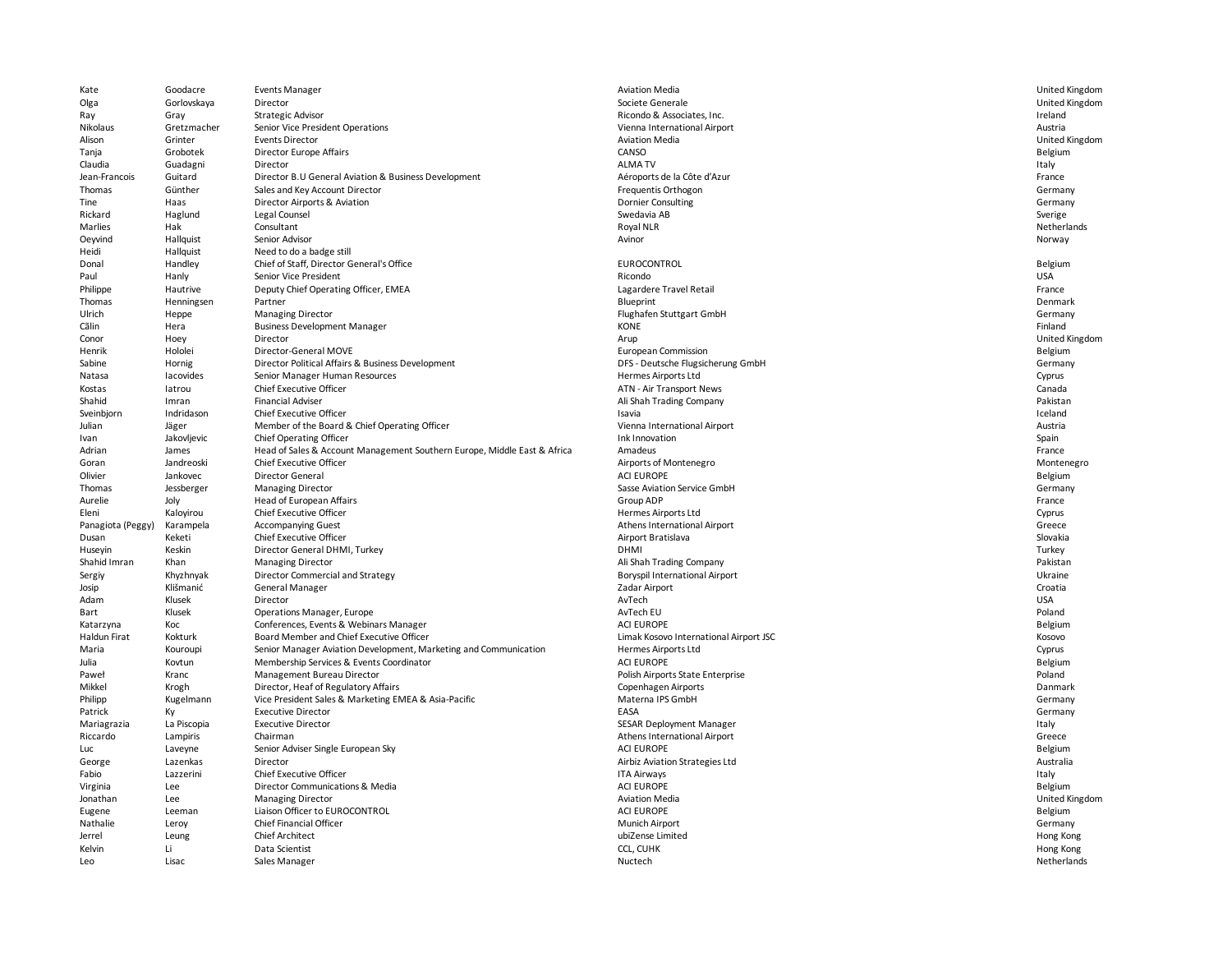| Kate              | Goodacre    | <b>Events Manager</b>                                                    | <b>Aviation Media</b>                  | United Kingdom |
|-------------------|-------------|--------------------------------------------------------------------------|----------------------------------------|----------------|
| Olga              | Gorlovskaya | Director                                                                 | Societe Generale                       | United Kingdom |
| Ray               | Gray        | <b>Strategic Advisor</b>                                                 | Ricondo & Associates, Inc.             | Ireland        |
| Nikolaus          | Gretzmacher | Senior Vice President Operations                                         | Vienna International Airport           | Austria        |
| Alison            | Grinter     | <b>Events Director</b>                                                   | <b>Aviation Media</b>                  | United Kingdom |
| Tanja             | Grobotek    | <b>Director Europe Affairs</b>                                           | CANSO                                  | Belgium        |
| Claudia           | Guadagni    | Director                                                                 | <b>ALMA TV</b>                         | Italy          |
| Jean-Francois     | Guitard     | Director B.U General Aviation & Business Development                     | Aéroports de la Côte d'Azur            | France         |
| Thomas            | Günther     | Sales and Key Account Director                                           | Frequentis Orthogon                    | Germany        |
| Tine              | Haas        | Director Airports & Aviation                                             | <b>Dornier Consulting</b>              | Germany        |
| Rickard           | Haglund     | Legal Counsel                                                            | Swedavia AB                            | Sverige        |
| Marlies           | Hak         | Consultant                                                               | Royal NLR                              | Netherlands    |
| Oeyvind           | Hallquist   | Senior Advisor                                                           | Avinor                                 | Norway         |
| Heidi             | Hallquist   | Need to do a badge still                                                 |                                        |                |
| Donal             | Handley     | Chief of Staff, Director General's Office                                | EUROCONTROL                            | Belgium        |
| Paul              | Hanly       | Senior Vice President                                                    | Ricondo                                | <b>USA</b>     |
| Philippe          | Hautrive    | Deputy Chief Operating Officer, EMEA                                     | Lagardere Travel Retail                | France         |
| Thomas            | Henningsen  | Partner                                                                  | Blueprint                              | Denmark        |
| Ulrich            | Heppe       | <b>Managing Director</b>                                                 | Flughafen Stuttgart GmbH               | Germany        |
| Cãlin             | Hera        | <b>Business Development Manager</b>                                      | <b>KONE</b>                            | Finland        |
| Conor             | Hoey        | Director                                                                 | Arup                                   | United Kingdom |
| Henrik            | Hololei     | Director-General MOVE                                                    | European Commission                    | Belgium        |
| Sabine            | Hornig      | Director Political Affairs & Business Development                        | DFS - Deutsche Flugsicherung GmbH      | Germany        |
| Natasa            | lacovides   | Senior Manager Human Resources                                           | Hermes Airports Ltd                    | Cyprus         |
| Kostas            | latrou      | <b>Chief Executive Officer</b>                                           | ATN - Air Transport News               | Canada         |
| Shahid            | Imran       | <b>Financial Adviser</b>                                                 | Ali Shah Trading Company               | Pakistan       |
| Sveinbjorn        | Indridason  | Chief Executive Officer                                                  | Isavia                                 | Iceland        |
| Julian            | Jäger       | Member of the Board & Chief Operating Officer                            | Vienna International Airport           | Austria        |
| Ivan              | Jakovljevic | Chief Operating Officer                                                  | Ink Innovation                         | Spain          |
| Adrian            | James       | Head of Sales & Account Management Southern Europe, Middle East & Africa | Amadeus                                | France         |
| Goran             | Jandreoski  | <b>Chief Executive Officer</b>                                           | Airports of Montenegro                 | Montenegro     |
| Olivier           | Jankovec    | Director General                                                         | <b>ACI EUROPE</b>                      | Belgium        |
| Thomas            | Jessberger  | <b>Managing Director</b>                                                 | Sasse Aviation Service GmbH            | Germany        |
| Aurelie           | Joly        | <b>Head of European Affairs</b>                                          | Group ADP                              | France         |
| Eleni             | Kalovirou   | Chief Executive Officer                                                  | Hermes Airports Ltd                    | Cyprus         |
| Panagiota (Peggy) | Karampela   | <b>Accompanying Guest</b>                                                | Athens International Airport           | Greece         |
| Dusan             | Keketi      | Chief Executive Officer                                                  | Airport Bratislava                     | Slovakia       |
| Huseyin           | Keskin      | Director General DHMI, Turkey                                            | <b>DHMI</b>                            | Turkey         |
| Shahid Imran      | Khan        | <b>Managing Director</b>                                                 | Ali Shah Trading Company               | Pakistan       |
| Sergiy            | Khyzhnyak   | Director Commercial and Strategy                                         | <b>Boryspil International Airport</b>  | Ukraine        |
| Josip             | Klišmanić   | General Manager                                                          | Zadar Airport                          | Croatia        |
| Adam              | Klusek      | Director                                                                 | AvTech                                 | <b>USA</b>     |
| Bart              | Klusek      | Operations Manager, Europe                                               | AvTech EU                              | Poland         |
| Katarzyna         | Koc         | Conferences, Events & Webinars Manager                                   | <b>ACI EUROPE</b>                      | Belgium        |
| Haldun Firat      | Kokturk     | Board Member and Chief Executive Officer                                 | Limak Kosovo International Airport JSC | Kosovo         |
| Maria             | Kouroupi    | Senior Manager Aviation Development, Marketing and Communication         | Hermes Airports Ltd                    | Cyprus         |
| Julia             | Kovtun      | Membership Services & Events Coordinator                                 | <b>ACI EUROPE</b>                      | Belgium        |
| Paweł             | Kranc       | Management Bureau Director                                               | Polish Airports State Enterprise       | Poland         |
| Mikkel            | Krogh       | Director, Heaf of Regulatory Affairs                                     | Copenhagen Airports                    | Danmark        |
| Philipp           | Kugelmann   | Vice President Sales & Marketing EMEA & Asia-Pacific                     | Materna IPS GmbH                       | Germany        |
| Patrick           | Кy          | <b>Executive Director</b>                                                | EASA                                   | Germany        |
| Mariagrazia       | La Piscopia | <b>Executive Director</b>                                                | SESAR Deployment Manager               | Italy          |
| Riccardo          | Lampiris    | Chairman                                                                 | Athens International Airport           | Greece         |
| Luc               | Laveyne     | Senior Adviser Single European Sky                                       | <b>ACI EUROPE</b>                      | Belgium        |
| George            | Lazenkas    | Director                                                                 | Airbiz Aviation Strategies Ltd         | Australia      |
| Fabio             | Lazzerini   | Chief Executive Officer                                                  | <b>ITA Airways</b>                     | Italy          |
| Virginia          | Lee         | Director Communications & Media                                          | <b>ACI EUROPE</b>                      | Belgium        |
| Jonathan          | Lee         | <b>Managing Director</b>                                                 | <b>Aviation Media</b>                  | United Kingdom |
| Eugene            | Leeman      | Liaison Officer to EUROCONTROL                                           | <b>ACI EUROPE</b>                      | Belgium        |
| Nathalie          | Leroy       | Chief Financial Officer                                                  | <b>Munich Airport</b>                  | Germany        |
| Jerrel            | Leung       | <b>Chief Architect</b>                                                   | ubiZense Limited                       | Hong Kong      |
| Kelvin            | Li          | Data Scientist                                                           | <b>CCL. CUHK</b>                       | Hong Kong      |
| Leo               | Lisac       | Sales Manager                                                            | Nuctech                                | Netherlands    |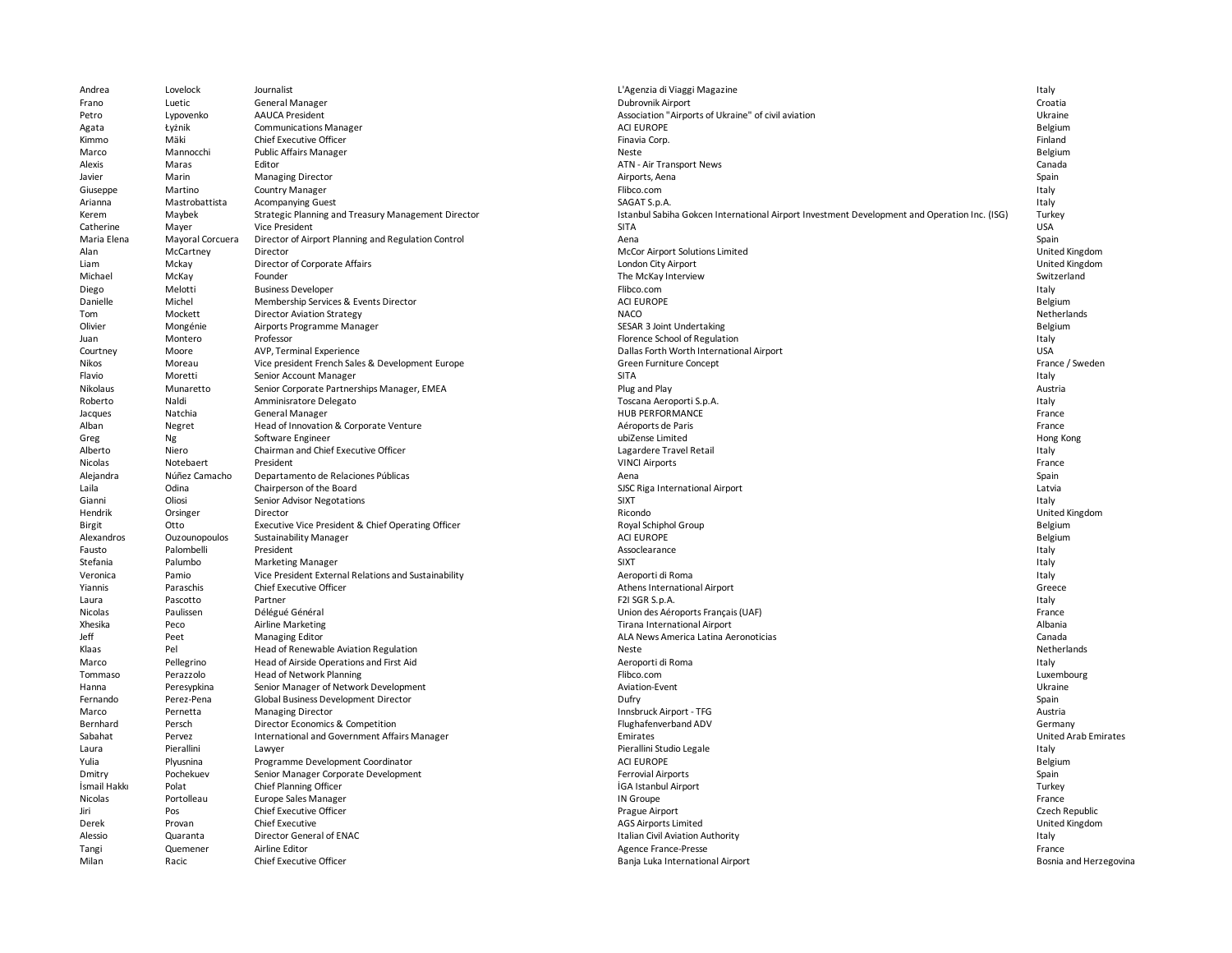| Andrea         | Lovelock         | Journalist                                           | L'Agenzia di Viaggi Magazine                                                                 | Italy                  |
|----------------|------------------|------------------------------------------------------|----------------------------------------------------------------------------------------------|------------------------|
| Frano          | Luetic           | General Manager                                      | Dubrovnik Airport                                                                            | Croatia                |
| Petro          | Lypovenko        | <b>AAUCA President</b>                               | Association "Airports of Ukraine" of civil aviation                                          | Ukraine                |
| Agata          | Łyżnik           | <b>Communications Manager</b>                        | <b>ACI EUROPE</b>                                                                            | Belgium                |
| Kimmo          | Mäki             | Chief Executive Officer                              | Finavia Corp.                                                                                | Finland                |
| Marco          | Mannocchi        | <b>Public Affairs Manager</b>                        | Neste                                                                                        | Belgium                |
| Alexis         | Maras            | Editor                                               | ATN - Air Transport News                                                                     | Canada                 |
| Javier         | Marin            | <b>Managing Director</b>                             | Airports, Aena                                                                               | Spain                  |
| Giuseppe       | Martino          | <b>Country Manager</b>                               | Flibco.com                                                                                   | Italy                  |
| Arianna        | Mastrobattista   | <b>Acompanying Guest</b>                             | SAGAT S.p.A.                                                                                 | Italy                  |
| Kerem          | Maybek           | Strategic Planning and Treasury Management Director  | Istanbul Sabiha Gokcen International Airport Investment Development and Operation Inc. (ISG) | Turkey                 |
| Catherine      | Mayer            | Vice President                                       | <b>SITA</b>                                                                                  | <b>USA</b>             |
| Maria Elena    | Mayoral Corcuera | Director of Airport Planning and Regulation Control  | Aena                                                                                         | Spain                  |
| Alan           | McCartney        | Director                                             | McCor Airport Solutions Limited                                                              | United Kingdom         |
| Liam           | Mckay            | Director of Corporate Affairs                        | London City Airport                                                                          | United Kingdom         |
| Michael        | McKay            | Founder                                              | The McKay Interview                                                                          | Switzerland            |
| Diego          | Melotti          | <b>Business Developer</b>                            | Flibco.com                                                                                   | Italy                  |
| Danielle       | Michel           | Membership Services & Events Director                | <b>ACI EUROPE</b>                                                                            | Belgium                |
| Tom            | Mockett          |                                                      | <b>NACO</b>                                                                                  | Netherlands            |
| Olivier        |                  | <b>Director Aviation Strategy</b>                    |                                                                                              |                        |
|                | Mongénie         | Airports Programme Manager                           | SESAR 3 Joint Undertaking                                                                    | Belgium                |
| Juan           | Montero          | Professor                                            | Florence School of Regulation                                                                | Italy                  |
| Courtney       | Moore            | AVP, Terminal Experience                             | Dallas Forth Worth International Airport                                                     | <b>USA</b>             |
| Nikos          | Moreau           | Vice president French Sales & Development Europe     | Green Furniture Concept                                                                      | France / Sweden        |
| Flavio         | Moretti          | Senior Account Manager                               | SITA                                                                                         | Italy                  |
| Nikolaus       | Munaretto        | Senior Corporate Partnerships Manager, EMEA          | Plug and Play                                                                                | Austria                |
| Roberto        | Naldi            | Amminisratore Delegato                               | Toscana Aeroporti S.p.A.                                                                     | Italy                  |
| Jacques        | Natchia          | General Manager                                      | <b>HUB PERFORMANCE</b>                                                                       | France                 |
| Alban          | Negret           | Head of Innovation & Corporate Venture               | Aéroports de Paris                                                                           | France                 |
| Greg           | Ng               | Software Engineer                                    | ubiZense Limited                                                                             | Hong Kong              |
| Alberto        | Niero            | Chairman and Chief Executive Officer                 | Lagardere Travel Retail                                                                      | Italy                  |
| <b>Nicolas</b> | Notebaert        | President                                            | <b>VINCI Airports</b>                                                                        | France                 |
| Alejandra      | Núñez Camacho    | Departamento de Relaciones Públicas                  | Aena                                                                                         | Spain                  |
| Laila          | Odina            | Chairperson of the Board                             | SJSC Riga International Airport                                                              | Latvia                 |
| Gianni         | Oliosi           | Senior Advisor Negotations                           | <b>SIXT</b>                                                                                  | Italy                  |
| Hendrik        | Orsinger         | Director                                             | Ricondo                                                                                      | United Kingdom         |
| Birgit         | Otto             | Executive Vice President & Chief Operating Officer   | Royal Schiphol Group                                                                         | Belgium                |
| Alexandros     | Ouzounopoulos    | <b>Sustainability Manager</b>                        | <b>ACI EUROPE</b>                                                                            | Belgium                |
| Fausto         | Palombelli       | President                                            | Assoclearance                                                                                | Italy                  |
| Stefania       | Palumbo          | <b>Marketing Manager</b>                             | <b>SIXT</b>                                                                                  | Italy                  |
| Veronica       | Pamio            | Vice President External Relations and Sustainability | Aeroporti di Roma                                                                            | Italy                  |
| Yiannis        | Paraschis        | Chief Executive Officer                              | Athens International Airport                                                                 | Greece                 |
| Laura          | Pascotto         | Partner                                              | F2I SGR S.p.A.                                                                               | Italy                  |
| Nicolas        | Paulissen        | Délégué Général                                      | Union des Aéroports Français (UAF)                                                           | France                 |
| Xhesika        | Peco             | <b>Airline Marketing</b>                             | Tirana International Airport                                                                 | Albania                |
| Jeff           | Peet             | <b>Managing Editor</b>                               | ALA News America Latina Aeronoticias                                                         | Canada                 |
| Klaas          | Pel              | Head of Renewable Aviation Regulation                | Neste                                                                                        | Netherlands            |
| Marco          | Pellegrino       | Head of Airside Operations and First Aid             | Aeroporti di Roma                                                                            | Italy                  |
| Tommaso        | Perazzolo        | <b>Head of Network Planning</b>                      | Flibco.com                                                                                   | Luxembourg             |
| Hanna          | Peresypkina      | Senior Manager of Network Development                | Aviation-Event                                                                               | Ukraine                |
| Fernando       | Perez-Pena       | Global Business Development Director                 | Dufry                                                                                        | Spain                  |
| Marco          | Pernetta         | <b>Managing Director</b>                             | Innsbruck Airport - TFG                                                                      | Austria                |
| Bernhard       | Persch           | Director Economics & Competition                     | Flughafenverband ADV                                                                         | Germany                |
| Sabahat        | Pervez           | International and Government Affairs Manager         | Emirates                                                                                     | United Arab Emirates   |
|                | Pierallini       |                                                      | Pierallini Studio Legale                                                                     | Italy                  |
| Laura<br>Yulia | Plyusnina        | Lawyer<br>Programme Development Coordinator          | <b>ACI EUROPE</b>                                                                            | Belgium                |
|                | Pochekuev        |                                                      | Ferrovial Airports                                                                           |                        |
| Dmitry         |                  | Senior Manager Corporate Development                 |                                                                                              | Spain                  |
| İsmail Hakkı   | Polat            | Chief Planning Officer                               | <b>İGA Istanbul Airport</b>                                                                  | Turkey                 |
| Nicolas        | Portolleau       | Europe Sales Manager                                 | IN Groupe                                                                                    | France                 |
| Jiri           | Pos              | <b>Chief Executive Officer</b>                       | Prague Airport                                                                               | Czech Republic         |
| Derek          | Provan           | <b>Chief Executive</b>                               | <b>AGS Airports Limited</b>                                                                  | United Kingdom         |
| Alessio        | Quaranta         | Director General of ENAC                             | Italian Civil Aviation Authority                                                             | Italy                  |
| Tangi          | Quemener         | Airline Editor                                       | Agence France-Presse                                                                         | France                 |
| Milan          | Racic            | Chief Executive Officer                              | Banja Luka International Airport                                                             | Bosnia and Herzegovina |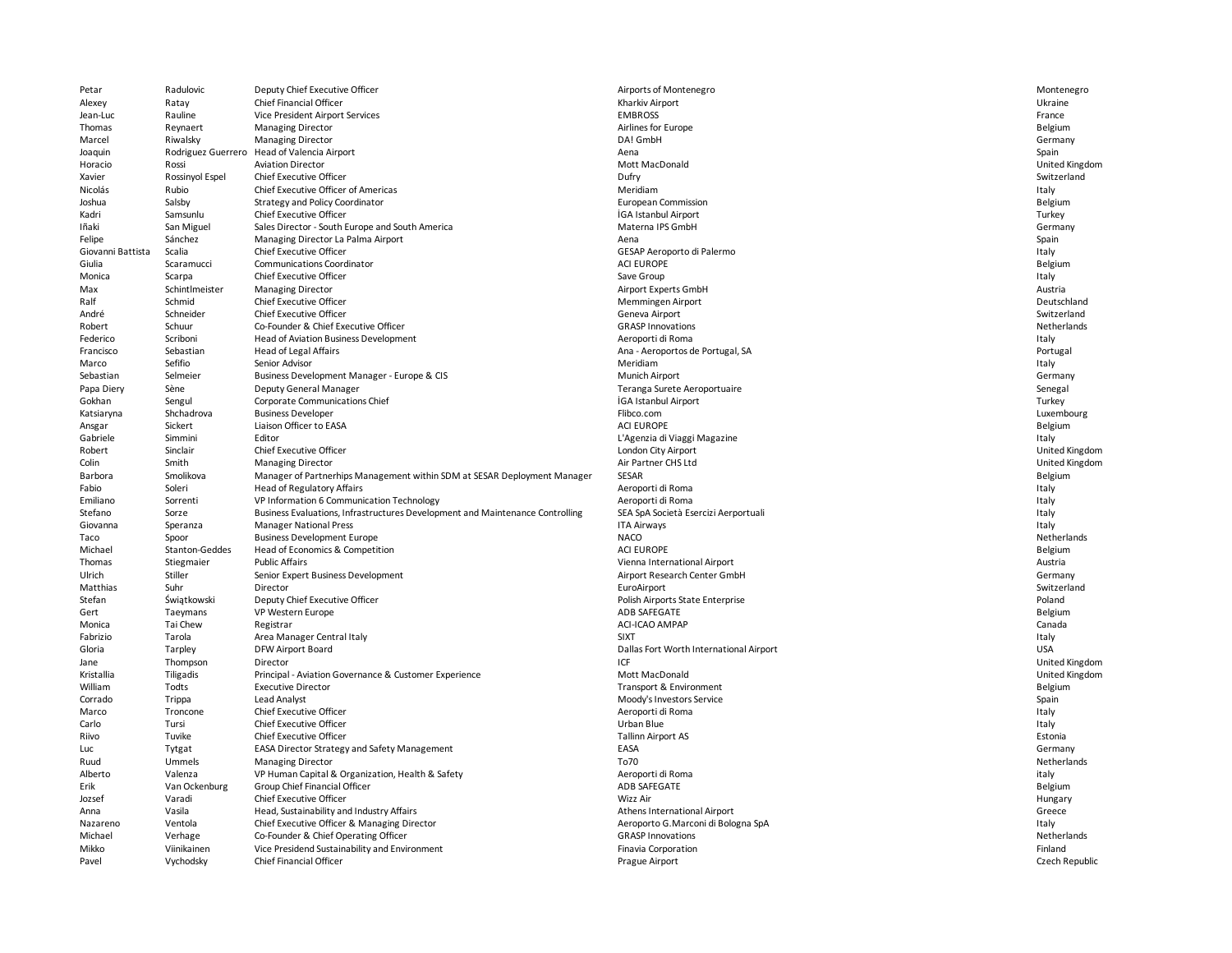| Petar             | Radulovic                | Deputy Chief Executive Officer                                                | Airports of Montenegro                  | Montenegro                |
|-------------------|--------------------------|-------------------------------------------------------------------------------|-----------------------------------------|---------------------------|
| Alexey            | Ratay                    | Chief Financial Officer                                                       | Kharkiv Airport                         | Ukraine                   |
| Jean-Luc          | Rauline                  | Vice President Airport Services                                               | <b>EMBROSS</b>                          | France                    |
| Thomas            | Reynaert                 | <b>Managing Director</b>                                                      | Airlines for Europe                     | Belgium                   |
| Marcel            | Riwalsky                 | <b>Managing Director</b>                                                      | DA! GmbH                                | Germany                   |
| Joaquin           |                          | Rodriguez Guerrero Head of Valencia Airport                                   | Aena                                    | Spain                     |
| Horacio           | Rossi                    | <b>Aviation Director</b>                                                      | <b>Mott MacDonald</b>                   | United Kingdom            |
| Xavier            | Rossinyol Espel          | Chief Executive Officer                                                       | Dufry                                   | Switzerland               |
| Nicolás           | Rubio                    | Chief Executive Officer of Americas                                           | Meridiam                                | Italy                     |
| Joshua            | Salsby                   | Strategy and Policy Coordinator                                               | <b>European Commission</b>              | Belgium                   |
| Kadri             | Samsunlu                 | Chief Executive Officer                                                       | İGA Istanbul Airport                    | Turkey                    |
| Iñaki             | San Miguel               | Sales Director - South Europe and South America                               | Materna IPS GmbH                        | Germany                   |
| Felipe            | Sánchez                  | Managing Director La Palma Airport                                            | Aena                                    | Spain                     |
| Giovanni Battista | Scalia                   | <b>Chief Executive Officer</b>                                                | GESAP Aeroporto di Palermo              | Italy                     |
| Giulia            | Scaramucci               | <b>Communications Coordinator</b>                                             | <b>ACI EUROPE</b>                       | Belgium                   |
| Monica            | Scarpa                   | Chief Executive Officer                                                       | Save Group                              | Italy                     |
| Max               | Schintlmeister           | <b>Managing Director</b>                                                      | Airport Experts GmbH                    | Austria                   |
| Ralf              | Schmid                   | Chief Executive Officer                                                       | Memmingen Airport                       | Deutschland               |
| André             | Schneider                | <b>Chief Executive Officer</b>                                                | Geneva Airport                          | Switzerland               |
| Robert            | Schuur                   | Co-Founder & Chief Executive Officer                                          | <b>GRASP Innovations</b>                | Netherlands               |
| Federico          | Scriboni                 | Head of Aviation Business Development                                         | Aeroporti di Roma                       | Italy                     |
| Francisco         | Sebastian                | Head of Legal Affairs                                                         | Ana - Aeroportos de Portugal, SA        | Portugal                  |
| Marco             | Sefifio                  | Senior Advisor                                                                | Meridiam                                | Italy                     |
| Sebastian         | Selmeier                 | Business Development Manager - Europe & CIS                                   | Munich Airport                          | Germany                   |
| Papa Diery        | Sène                     | Deputy General Manager                                                        | Teranga Surete Aeroportuaire            | Senegal                   |
| Gokhan            | Sengul                   | Corporate Communications Chief                                                | <b>İGA Istanbul Airport</b>             | Turkey                    |
| Katsiaryna        | Shchadrova               | <b>Business Developer</b>                                                     | Flibco.com                              | Luxembourg                |
| Ansgar            | Sickert                  | Liaison Officer to EASA                                                       | <b>ACI EUROPE</b>                       | Belgium                   |
| Gabriele          | Simmini                  | Editor                                                                        | L'Agenzia di Viaggi Magazine            | Italy                     |
| Robert            | Sinclair                 | Chief Executive Officer                                                       | London City Airport                     | United Kingdom            |
| Colin             | Smith                    | <b>Managing Director</b>                                                      | Air Partner CHS Ltd                     | United Kingdom            |
| Barbora           | Smolikova                | Manager of Partnerhips Management within SDM at SESAR Deployment Manager      | SESAR                                   | Belgium                   |
| Fabio             | Soleri                   | Head of Regulatory Affairs                                                    | Aeroporti di Roma                       | Italy                     |
| Emiliano          | Sorrenti                 | VP Information 6 Communication Technology                                     | Aeroporti di Roma                       | Italy                     |
| Stefano           | Sorze                    | Business Evaluations, Infrastructures Development and Maintenance Controlling | SEA SpA Società Esercizi Aerportuali    | Italy                     |
| Giovanna          | Speranza                 | <b>Manager National Press</b>                                                 | <b>ITA Airways</b>                      | Italy                     |
| Taco              | Spoor                    | <b>Business Development Europe</b>                                            | <b>NACO</b>                             | Netherlands               |
| Michael           | Stanton-Geddes           | Head of Economics & Competition                                               | <b>ACI EUROPE</b>                       | Belgium                   |
| Thomas            | Stiegmaier               | <b>Public Affairs</b>                                                         | Vienna International Airport            | Austria                   |
| Ulrich            | Stiller                  | Senior Expert Business Development                                            | Airport Research Center GmbH            | Germany                   |
| Matthias          | Suhr                     | Director                                                                      | EuroAirport                             | Switzerland               |
| Stefan            | Świątkowski              | Deputy Chief Executive Officer                                                | Polish Airports State Enterprise        | Poland                    |
| Gert              | Taeymans                 | VP Western Europe                                                             | ADB SAFEGATE                            | Belgium                   |
| Monica            | Tai Chew                 | Registrar                                                                     | ACI-ICAO AMPAP                          | Canada                    |
| Fabrizio          | Tarola                   | Area Manager Central Italy                                                    | <b>SIXT</b>                             | Italy                     |
| Gloria            | Tarpley                  | DFW Airport Board                                                             | Dallas Fort Worth International Airport | <b>USA</b>                |
| Jane              | Thompson                 | Director                                                                      | <b>ICF</b>                              | United Kingdom            |
| Kristallia        | Tiligadis                | Principal - Aviation Governance & Customer Experience                         | Mott MacDonald                          | United Kingdom            |
| William           | Todts                    | <b>Executive Director</b>                                                     | Transport & Environment                 | Belgium                   |
| Corrado           | Trippa                   | Lead Analyst                                                                  | Moody's Investors Service               | Spain                     |
| Marco             | Troncone                 | <b>Chief Executive Officer</b>                                                | Aeroporti di Roma                       | Italy                     |
| Carlo             | Tursi                    | <b>Chief Executive Officer</b>                                                | Urban Blue                              | Italy                     |
| Riivo             | Tuvike                   | Chief Executive Officer                                                       | <b>Tallinn Airport AS</b>               | Estonia                   |
| Luc               | Tytgat                   | EASA Director Strategy and Safety Management                                  | EASA                                    | Germany                   |
| Ruud              | Ummels                   | <b>Managing Director</b>                                                      | To70                                    | Netherlands               |
| Alberto           | Valenza                  | VP Human Capital & Organization, Health & Safety                              | Aeroporti di Roma                       | italy                     |
| Erik              | Van Ockenburg            | Group Chief Financial Officer                                                 | ADB SAFEGATE                            | Belgium                   |
| Jozsef            | Varadi                   | <b>Chief Executive Officer</b>                                                | Wizz Air                                | Hungary                   |
| Anna              | Vasila                   | Head, Sustainability and Industry Affairs                                     | Athens International Airport            | Greece                    |
| Nazareno          | Ventola                  | Chief Executive Officer & Managing Director                                   | Aeroporto G. Marconi di Bologna SpA     | Italy                     |
| Michael           | Verhage                  | Co-Founder & Chief Operating Officer                                          | <b>GRASP Innovations</b>                | Netherlands               |
|                   |                          |                                                                               |                                         |                           |
|                   |                          |                                                                               |                                         |                           |
| Mikko<br>Pavel    | Viinikainen<br>Vychodsky | Vice Presidend Sustainability and Environment<br>Chief Financial Officer      | Finavia Corporation<br>Prague Airport   | Finland<br>Czech Republic |